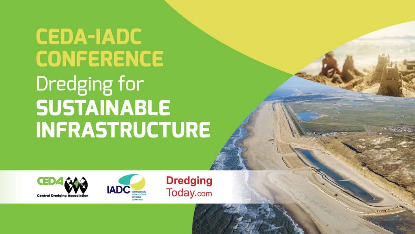# **CEDA-IADC CONFERENCE** Dredging for **SUSTAINABLE INFRASTRUCTURE**





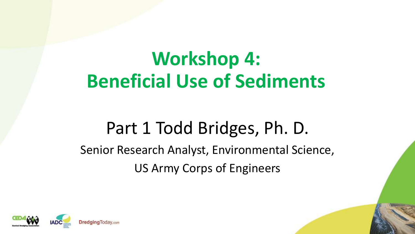# **Workshop 4: Beneficial Use of Sediments**

### Part 1 Todd Bridges, Ph. D.

#### Senior Research Analyst, Environmental Science, US Army Corps of Engineers

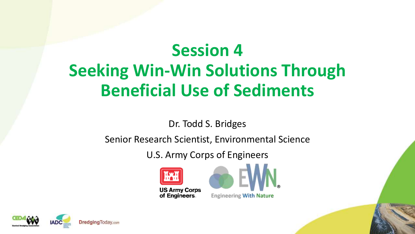## **Session 4 Seeking Win-Win Solutions Through Beneficial Use of Sediments**

Dr. Todd S. Bridges

Senior Research Scientist, Environmental Science

U.S. Army Corps of Engineers





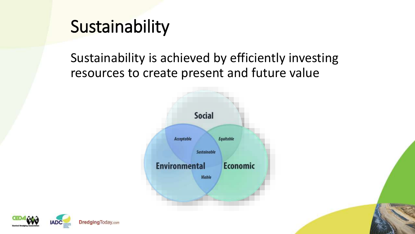### Sustainability

Sustainability is achieved by efficiently investing resources to create present and future value



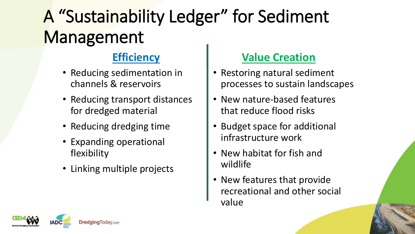# A "Sustainability Ledger" for Sediment **Management**

#### **Efficiency**

- Reducing sedimentation in channels & reservoirs
- Reducing transport distances for dredged material
- Reducing dredging time
- Expanding operational flexibility
- Linking multiple projects

#### **Value Creation**

- Restoring natural sediment processes to sustain landscapes
- New nature-based features that reduce flood risks
- Budget space for additional infrastructure work
- New habitat for fish and wildlife
- New features that provide recreational and other social value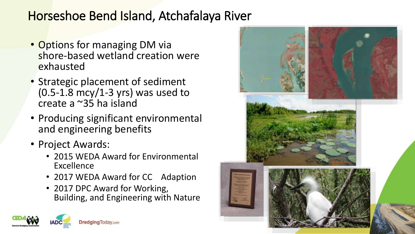#### Horseshoe Bend Island, Atchafalaya River

- Options for managing DM via shore-based wetland creation were exhausted
- Strategic placement of sediment  $(0.5-1.8 \text{ mcy}/1-3 \text{ yrs})$  was used to create a ~35 ha island
- Producing significant environmental and engineering benefits
- Project Awards:
	- 2015 WEDA Award for Environmental Excellence
	- 2017 WEDA Award for CC Adaption
	- 2017 DPC Award for Working, Building, and Engineering with Nature



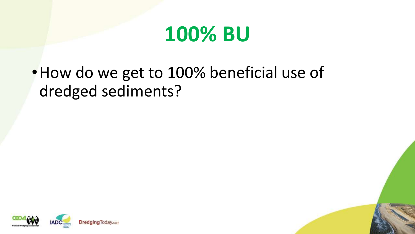

### •How do we get to 100% beneficial use of dredged sediments?